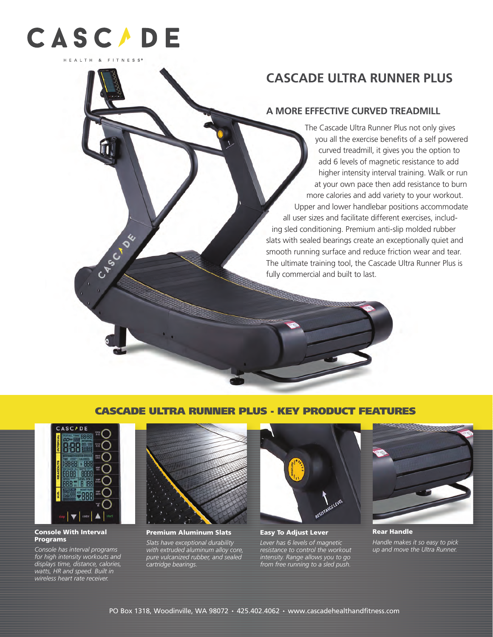

CABC OF

# **CASCADE ULTRA RUNNER PLUS**

# **A MORE EFFECTIVE CURVED TREADMILL**

The Cascade Ultra Runner Plus not only gives you all the exercise benefits of a self powered curved treadmill, it gives you the option to add 6 levels of magnetic resistance to add higher intensity interval training. Walk or run at your own pace then add resistance to burn more calories and add variety to your workout. Upper and lower handlebar positions accommodate all user sizes and facilitate different exercises, including sled conditioning. Premium anti-slip molded rubber slats with sealed bearings create an exceptionally quiet and smooth running surface and reduce friction wear and tear. The ultimate training tool, the Cascade Ultra Runner Plus is fully commercial and built to last.

# CASCADE ULTRA RUNNER PLUS - KEY PRODUCT FEATURES



#### Console With Interval **Programs**

*Console has interval programs for high intensity workouts and displays time, distance, calories, watts, HR and speed. Built in wireless heart rate receiver.*



### Premium Aluminum Slats

*Slats have exceptional durability with extruded aluminum alloy core, pure vulcanized rubber, and sealed cartridge bearings.*



Easy To Adjust Lever

*Lever has 6 levels of magnetic resistance to control the workout intensity. Range allows you to go from free running to a sled push.*



Rear Handle

*Handle makes it so easy to pick up and move the Ultra Runner.*